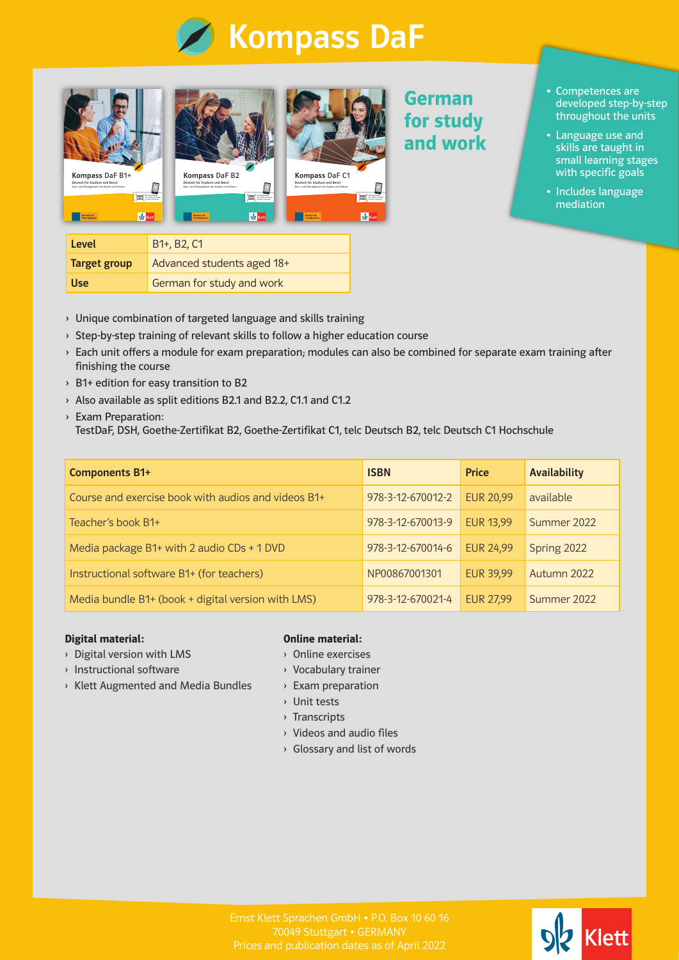



| ol <sub>2</sub> Klett<br>Deutsch als<br>Fremdspreche | Get Asymptote<br>OB Street<br>Œ<br><b>We had a und Video</b><br><b>We had a und Video</b><br>brateries absoluted<br>ol <sub>2</sub> Klett<br>Deutsch als<br>Deutsch als:<br>Fremdsprache<br>Fremdspreche |  |  |
|------------------------------------------------------|----------------------------------------------------------------------------------------------------------------------------------------------------------------------------------------------------------|--|--|
| Level                                                | B <sub>1</sub> +, B <sub>2</sub> , C <sub>1</sub>                                                                                                                                                        |  |  |
| <b>Target group</b>                                  | Advanced students aged 18+                                                                                                                                                                               |  |  |

**German for study and work**

- Competences are developed step-by-step throughout the units
- Language use and skills are taught in small learning stages with specific goals
- Includes language mediation

- › Unique combination of targeted language and skills training
- › Step-by-step training of relevant skills to follow a higher education course
- › Each unit offers a module for exam preparation; modules can also be combined for separate exam training after finishing the course
- › B1+ edition for easy transition to B2

Use German for study and work

- › Also available as split editions B2.1 and B2.2, C1.1 and C1.2
- › Exam Preparation: TestDaF, DSH, Goethe-Zertifikat B2, Goethe-Zertifikat C1, telc Deutsch B2, telc Deutsch C1 Hochschule

| <b>Components B1+</b>                               | <b>ISBN</b>       | <b>Price</b>     | <b>Availability</b> |
|-----------------------------------------------------|-------------------|------------------|---------------------|
| Course and exercise book with audios and videos B1+ | 978-3-12-670012-2 | <b>EUR 20,99</b> | available           |
| Teacher's book B1+                                  | 978-3-12-670013-9 | <b>EUR 13,99</b> | Summer 2022         |
| Media package B1+ with 2 audio CDs + 1 DVD          | 978-3-12-670014-6 | <b>EUR 24.99</b> | Spring 2022         |
| Instructional software B1+ (for teachers)           | NP00867001301     | <b>EUR 39.99</b> | Autumn 2022         |
| Media bundle B1+ (book + digital version with LMS)  | 978-3-12-670021-4 | <b>EUR 27,99</b> | Summer 2022         |

## **Digital material:**

- › Digital version with LMS
- › Instructional software
- › Klett Augmented and Media Bundles

## **Online material:**

- › Online exercises
- › Vocabulary trainer
- › Exam preparation
- › Unit tests
- › Transcripts
- › Videos and audio files
- › Glossary and list of words